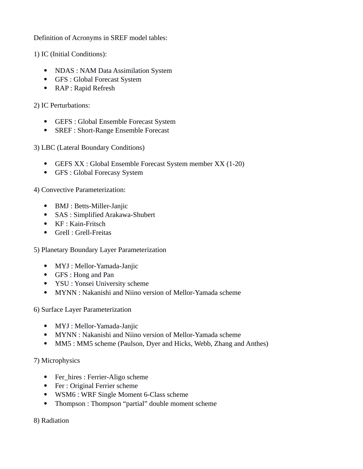Definition of Acronyms in SREF model tables:

1) IC (Initial Conditions):

- NDAS : NAM Data Assimilation System
- GFS : Global Forecast System
- RAP : Rapid Refresh

2) IC Perturbations:

- GEFS : Global Ensemble Forecast System
- SREF : Short-Range Ensemble Forecast

3) LBC (Lateral Boundary Conditions)

- GEFS XX : Global Ensemble Forecast System member XX (1-20)
- GFS : Global Forecasy System

4) Convective Parameterization:

- BMJ : Betts-Miller-Janjic
- SAS : Simplified Arakawa-Shubert
- KF : Kain-Fritsch
- Grell : Grell-Freitas

5) Planetary Boundary Layer Parameterization

- MYJ : Mellor-Yamada-Janjic
- GFS : Hong and Pan
- YSU : Yonsei University scheme
- MYNN : Nakanishi and Niino version of Mellor-Yamada scheme

6) Surface Layer Parameterization

- MYJ : Mellor-Yamada-Janjic
- MYNN : Nakanishi and Niino version of Mellor-Yamada scheme
- MM5 : MM5 scheme (Paulson, Dyer and Hicks, Webb, Zhang and Anthes)

7) Microphysics

- Fer\_hires : Ferrier-Aligo scheme
- Fer : Original Ferrier scheme
- WSM6 : WRF Single Moment 6-Class scheme
- Thompson : Thompson "partial" double moment scheme

## 8) Radiation